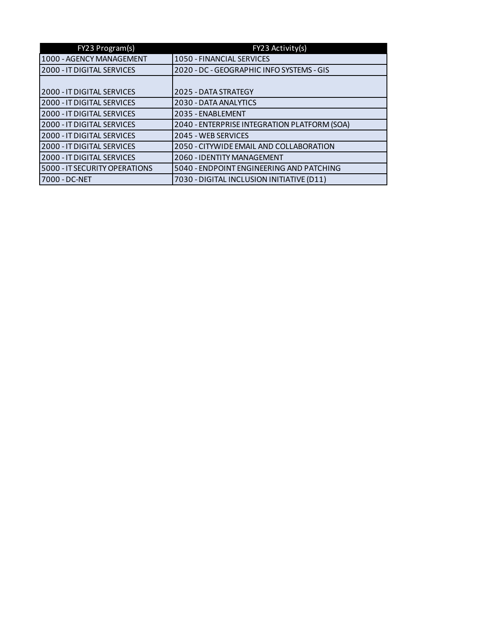| FY23 Program(s)               | FY23 Activity(s)                             |  |
|-------------------------------|----------------------------------------------|--|
| 1000 - AGENCY MANAGEMENT      | 1050 - FINANCIAL SERVICES                    |  |
| 2000 - IT DIGITAL SERVICES    | 2020 - DC - GEOGRAPHIC INFO SYSTEMS - GIS    |  |
|                               |                                              |  |
| 2000 - IT DIGITAL SERVICES    | 2025 - DATA STRATEGY                         |  |
| 2000 - IT DIGITAL SERVICES    | 2030 - DATA ANALYTICS                        |  |
| 2000 - IT DIGITAL SERVICES    | 2035 - ENABLEMENT                            |  |
| 2000 - IT DIGITAL SERVICES    | 2040 - ENTERPRISE INTEGRATION PLATFORM (SOA) |  |
| 2000 - IT DIGITAL SERVICES    | 2045 - WEB SERVICES                          |  |
| 2000 - IT DIGITAL SERVICES    | 2050 - CITYWIDE EMAIL AND COLLABORATION      |  |
| 2000 - IT DIGITAL SERVICES    | 2060 - IDENTITY MANAGEMENT                   |  |
| 5000 - IT SECURITY OPERATIONS | 5040 - ENDPOINT ENGINEERING AND PATCHING     |  |
| 7000 - DC-NET                 | 7030 - DIGITAL INCLUSION INITIATIVE (D11)    |  |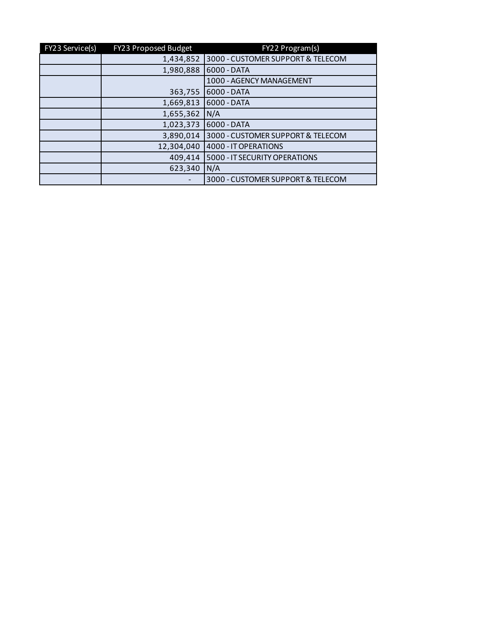| FY23 Service(s) | FY23 Proposed Budget | FY22 Program(s)                   |  |
|-----------------|----------------------|-----------------------------------|--|
|                 | 1,434,852            | 3000 - CUSTOMER SUPPORT & TELECOM |  |
|                 | 1,980,888            | 6000 - DATA                       |  |
|                 |                      | 1000 - AGENCY MANAGEMENT          |  |
|                 | 363,755              | 6000 - DATA                       |  |
|                 | 1,669,813            | 6000 - DATA                       |  |
|                 | 1,655,362            | N/A                               |  |
|                 | 1,023,373            | 6000 - DATA                       |  |
|                 | 3,890,014            | 3000 - CUSTOMER SUPPORT & TELECOM |  |
|                 | 12,304,040           | 4000 - IT OPERATIONS              |  |
|                 | 409,414              | 5000 - IT SECURITY OPERATIONS     |  |
|                 | 623,340              | N/A                               |  |
|                 |                      | 3000 - CUSTOMER SUPPORT & TELECOM |  |